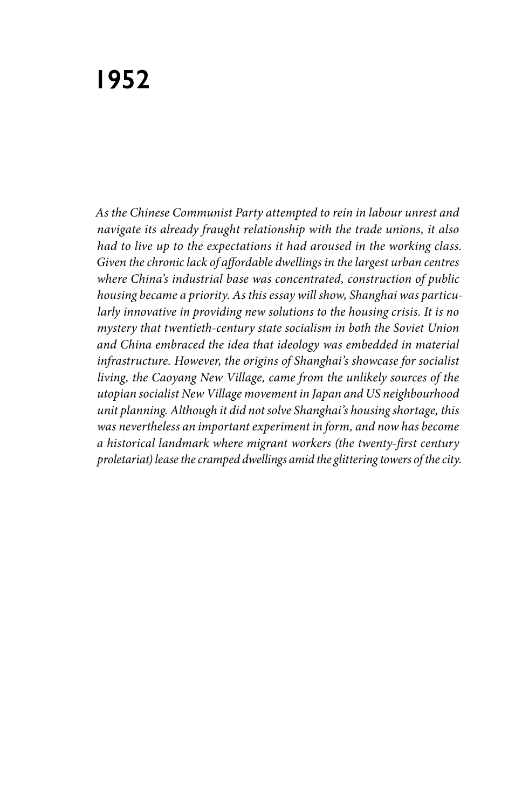*As the Chinese Communist Party attempted to rein in labour unrest and navigate its already fraught relationship with the trade unions, it also had to live up to the expectations it had aroused in the working class. Given the chronic lack of affordable dwellings in the largest urban centres where China's industrial base was concentrated, construction of public housing became a priority. As this essay will show, Shanghai was particularly innovative in providing new solutions to the housing crisis. It is no mystery that twentieth-century state socialism in both the Soviet Union and China embraced the idea that ideology was embedded in material infrastructure. However, the origins of Shanghai's showcase for socialist living, the Caoyang New Village, came from the unlikely sources of the utopian socialist New Village movement in Japan and US neighbourhood unit planning. Although it did not solve Shanghai's housing shortage, this was nevertheless an important experiment in form, and now has become a historical landmark where migrant workers (the twenty-first century proletariat) lease the cramped dwellings amid the glittering towers of the city.*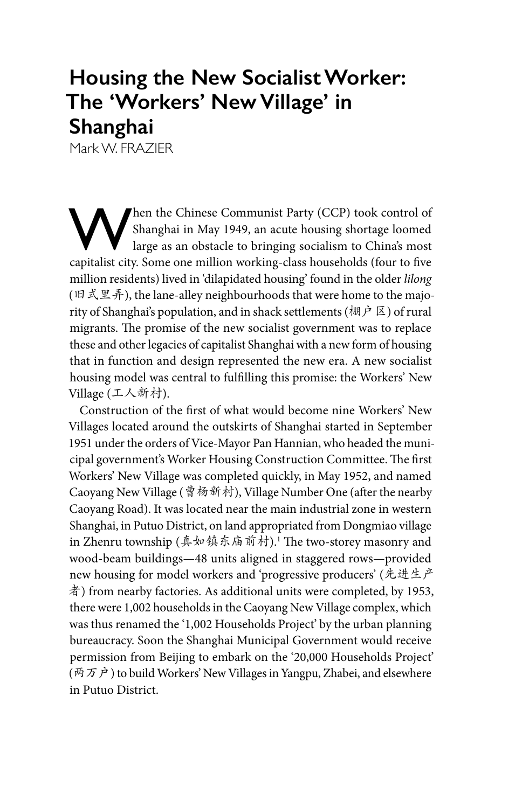# **Housing the New Socialist Worker: The 'Workers' New Village' in Shanghai**

Mark W. FRAZIER

When the Chinese Communist Party (CCP) took control of Shanghai in May 1949, an acute housing shortage loomed large as an obstacle to bringing socialism to China's most capitalist city. Some one million working-class households (four to five million residents) lived in 'dilapidated housing' found in the older *lilong* (旧式里弄), the lane-alley neighbourhoods that were home to the majority of Shanghai's population, and in shack settlements (棚户区) of rural migrants. The promise of the new socialist government was to replace these and other legacies of capitalist Shanghai with a new form of housing that in function and design represented the new era. A new socialist housing model was central to fulfilling this promise: the Workers' New Village (工人新村).

Construction of the first of what would become nine Workers' New Villages located around the outskirts of Shanghai started in September 1951 under the orders of Vice-Mayor Pan Hannian, who headed the municipal government's Worker Housing Construction Committee. The first Workers' New Village was completed quickly, in May 1952, and named Caoyang New Village (曹杨新村), Village Number One (after the nearby Caoyang Road). It was located near the main industrial zone in western Shanghai, in Putuo District, on land appropriated from Dongmiao village in Zhenru township (真如镇东庙前村).<sup>1</sup> The two-storey masonry and wood-beam buildings—48 units aligned in staggered rows—provided new housing for model workers and 'progressive producers' (先进生产 者) from nearby factories. As additional units were completed, by 1953, there were 1,002 households in the Caoyang New Village complex, which was thus renamed the '1,002 Households Project' by the urban planning bureaucracy. Soon the Shanghai Municipal Government would receive permission from Beijing to embark on the '20,000 Households Project' (两万户) to build Workers' New Villages in Yangpu, Zhabei, and elsewhere in Putuo District.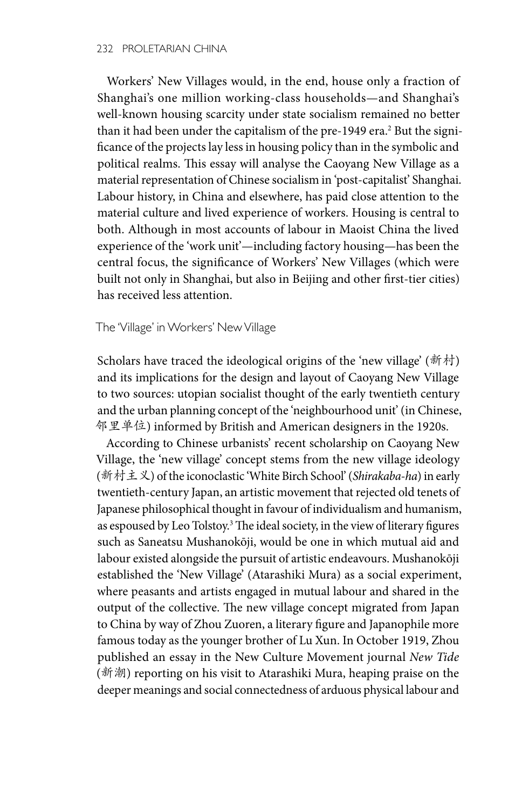Workers' New Villages would, in the end, house only a fraction of Shanghai's one million working-class households—and Shanghai's well-known housing scarcity under state socialism remained no better than it had been under the capitalism of the pre-1949 era.<sup>2</sup> But the significance of the projects lay less in housing policy than in the symbolic and political realms. This essay will analyse the Caoyang New Village as a material representation of Chinese socialism in 'post-capitalist' Shanghai. Labour history, in China and elsewhere, has paid close attention to the material culture and lived experience of workers. Housing is central to both. Although in most accounts of labour in Maoist China the lived experience of the 'work unit'—including factory housing—has been the central focus, the significance of Workers' New Villages (which were built not only in Shanghai, but also in Beijing and other first-tier cities) has received less attention.

#### The 'Village' in Workers' New Village

Scholars have traced the ideological origins of the 'new village' (新村) and its implications for the design and layout of Caoyang New Village to two sources: utopian socialist thought of the early twentieth century and the urban planning concept of the 'neighbourhood unit' (in Chinese, 邻里单位) informed by British and American designers in the 1920s.

According to Chinese urbanists' recent scholarship on Caoyang New Village, the 'new village' concept stems from the new village ideology (新村主义) of the iconoclastic 'White Birch School' (*Shirakaba-ha*) in early twentieth-century Japan, an artistic movement that rejected old tenets of Japanese philosophical thought in favour of individualism and humanism, as espoused by Leo Tolstoy.<sup>3</sup> The ideal society, in the view of literary figures such as Saneatsu Mushanokōji, would be one in which mutual aid and labour existed alongside the pursuit of artistic endeavours. Mushanokōji established the 'New Village' (Atarashiki Mura) as a social experiment, where peasants and artists engaged in mutual labour and shared in the output of the collective. The new village concept migrated from Japan to China by way of Zhou Zuoren, a literary figure and Japanophile more famous today as the younger brother of Lu Xun. In October 1919, Zhou published an essay in the New Culture Movement journal *New Tide*  (新潮) reporting on his visit to Atarashiki Mura, heaping praise on the deeper meanings and social connectedness of arduous physical labour and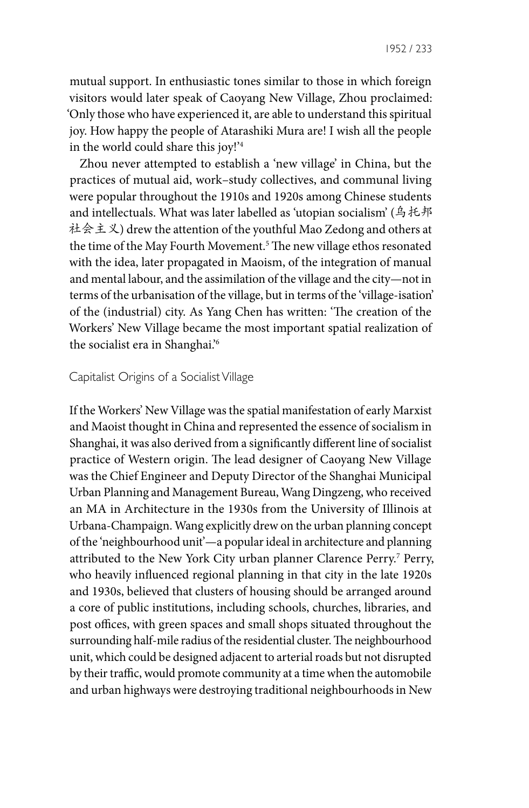mutual support. In enthusiastic tones similar to those in which foreign visitors would later speak of Caoyang New Village, Zhou proclaimed: 'Only those who have experienced it, are able to understand this spiritual joy. How happy the people of Atarashiki Mura are! I wish all the people in the world could share this joy!'4

Zhou never attempted to establish a 'new village' in China, but the practices of mutual aid, work–study collectives, and communal living were popular throughout the 1910s and 1920s among Chinese students and intellectuals. What was later labelled as 'utopian socialism' (乌托邦 社会主义) drew the attention of the youthful Mao Zedong and others at the time of the May Fourth Movement.5 The new village ethos resonated with the idea, later propagated in Maoism, of the integration of manual and mental labour, and the assimilation of the village and the city—not in terms of the urbanisation of the village, but in terms of the 'village-isation' of the (industrial) city. As Yang Chen has written: 'The creation of the Workers' New Village became the most important spatial realization of the socialist era in Shanghai.'6

### Capitalist Origins of a Socialist Village

If the Workers' New Village was the spatial manifestation of early Marxist and Maoist thought in China and represented the essence of socialism in Shanghai, it was also derived from a significantly different line of socialist practice of Western origin. The lead designer of Caoyang New Village was the Chief Engineer and Deputy Director of the Shanghai Municipal Urban Planning and Management Bureau, Wang Dingzeng, who received an MA in Architecture in the 1930s from the University of Illinois at Urbana-Champaign. Wang explicitly drew on the urban planning concept of the 'neighbourhood unit'—a popular ideal in architecture and planning attributed to the New York City urban planner Clarence Perry.<sup>7</sup> Perry, who heavily influenced regional planning in that city in the late 1920s and 1930s, believed that clusters of housing should be arranged around a core of public institutions, including schools, churches, libraries, and post offices, with green spaces and small shops situated throughout the surrounding half-mile radius of the residential cluster. The neighbourhood unit, which could be designed adjacent to arterial roads but not disrupted by their traffic, would promote community at a time when the automobile and urban highways were destroying traditional neighbourhoods in New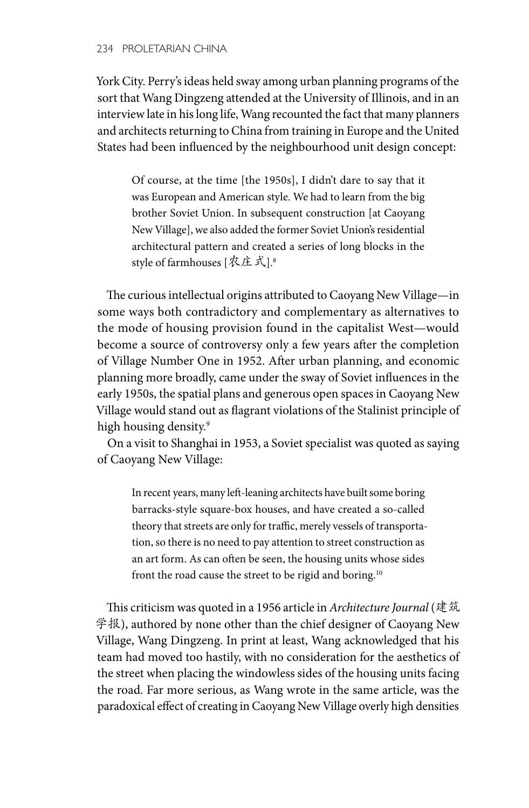York City. Perry's ideas held sway among urban planning programs of the sort that Wang Dingzeng attended at the University of Illinois, and in an interview late in his long life, Wang recounted the fact that many planners and architects returning to China from training in Europe and the United States had been influenced by the neighbourhood unit design concept:

Of course, at the time [the 1950s], I didn't dare to say that it was European and American style. We had to learn from the big brother Soviet Union. In subsequent construction [at Caoyang New Village], we also added the former Soviet Union's residential architectural pattern and created a series of long blocks in the style of farmhouses [农庄式].8

The curious intellectual origins attributed to Caoyang New Village—in some ways both contradictory and complementary as alternatives to the mode of housing provision found in the capitalist West—would become a source of controversy only a few years after the completion of Village Number One in 1952. After urban planning, and economic planning more broadly, came under the sway of Soviet influences in the early 1950s, the spatial plans and generous open spaces in Caoyang New Village would stand out as flagrant violations of the Stalinist principle of high housing density.<sup>9</sup>

On a visit to Shanghai in 1953, a Soviet specialist was quoted as saying of Caoyang New Village:

In recent years, many left-leaning architects have built some boring barracks-style square-box houses, and have created a so-called theory that streets are only for traffic, merely vessels of transportation, so there is no need to pay attention to street construction as an art form. As can often be seen, the housing units whose sides front the road cause the street to be rigid and boring.<sup>10</sup>

This criticism was quoted in a 1956 article in *Architecture Journal* (建筑 学报), authored by none other than the chief designer of Caoyang New Village, Wang Dingzeng. In print at least, Wang acknowledged that his team had moved too hastily, with no consideration for the aesthetics of the street when placing the windowless sides of the housing units facing the road. Far more serious, as Wang wrote in the same article, was the paradoxical effect of creating in Caoyang New Village overly high densities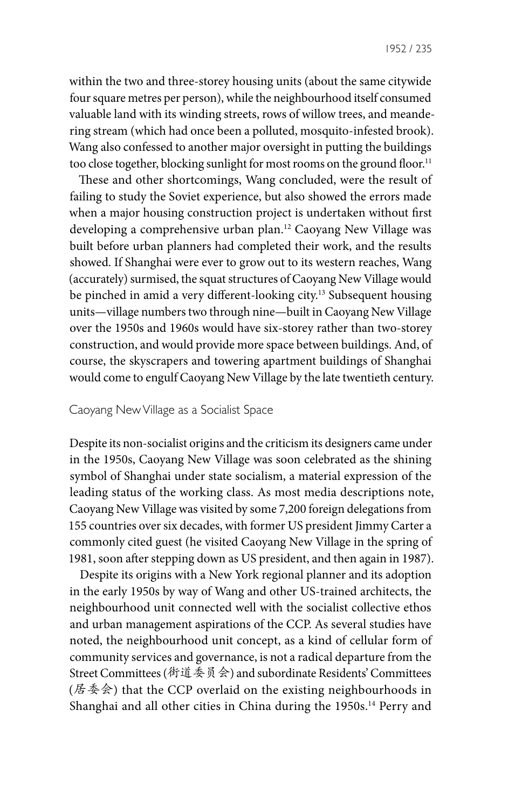within the two and three-storey housing units (about the same citywide four square metres per person), while the neighbourhood itself consumed valuable land with its winding streets, rows of willow trees, and meandering stream (which had once been a polluted, mosquito-infested brook). Wang also confessed to another major oversight in putting the buildings too close together, blocking sunlight for most rooms on the ground floor.<sup>11</sup>

These and other shortcomings, Wang concluded, were the result of failing to study the Soviet experience, but also showed the errors made when a major housing construction project is undertaken without first developing a comprehensive urban plan.12 Caoyang New Village was built before urban planners had completed their work, and the results showed. If Shanghai were ever to grow out to its western reaches, Wang (accurately) surmised, the squat structures of Caoyang New Village would be pinched in amid a very different-looking city.13 Subsequent housing units—village numbers two through nine—built in Caoyang New Village over the 1950s and 1960s would have six-storey rather than two-storey construction, and would provide more space between buildings. And, of course, the skyscrapers and towering apartment buildings of Shanghai would come to engulf Caoyang New Village by the late twentieth century.

## Caoyang New Village as a Socialist Space

Despite its non-socialist origins and the criticism its designers came under in the 1950s, Caoyang New Village was soon celebrated as the shining symbol of Shanghai under state socialism, a material expression of the leading status of the working class. As most media descriptions note, Caoyang New Village was visited by some 7,200 foreign delegations from 155 countries over six decades, with former US president Jimmy Carter a commonly cited guest (he visited Caoyang New Village in the spring of 1981, soon after stepping down as US president, and then again in 1987).

Despite its origins with a New York regional planner and its adoption in the early 1950s by way of Wang and other US-trained architects, the neighbourhood unit connected well with the socialist collective ethos and urban management aspirations of the CCP. As several studies have noted, the neighbourhood unit concept, as a kind of cellular form of community services and governance, is not a radical departure from the Street Committees (街道委员会) and subordinate Residents' Committees (居委会) that the CCP overlaid on the existing neighbourhoods in Shanghai and all other cities in China during the 1950s.<sup>14</sup> Perry and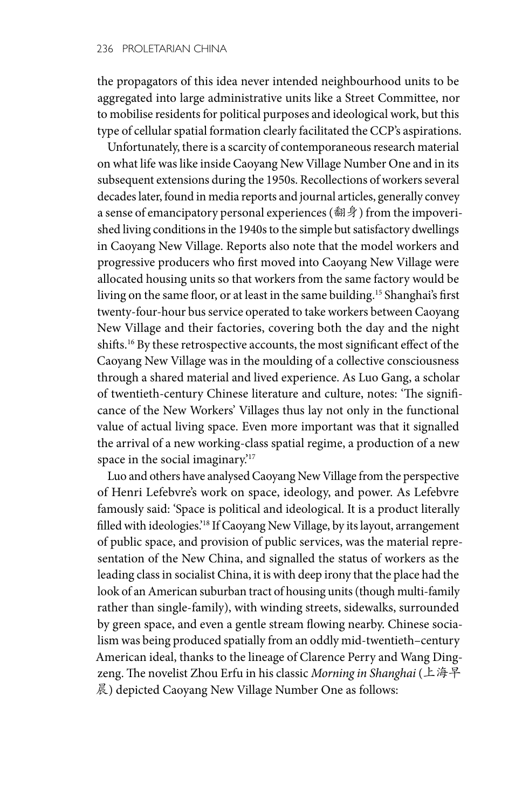the propagators of this idea never intended neighbourhood units to be aggregated into large administrative units like a Street Committee, nor to mobilise residents for political purposes and ideological work, but this type of cellular spatial formation clearly facilitated the CCP's aspirations.

Unfortunately, there is a scarcity of contemporaneous research material on what life was like inside Caoyang New Village Number One and in its subsequent extensions during the 1950s. Recollections of workers several decades later, found in media reports and journal articles, generally convey a sense of emancipatory personal experiences (翻身) from the impoverished living conditions in the 1940s to the simple but satisfactory dwellings in Caoyang New Village. Reports also note that the model workers and progressive producers who first moved into Caoyang New Village were allocated housing units so that workers from the same factory would be living on the same floor, or at least in the same building.15 Shanghai's first twenty-four-hour bus service operated to take workers between Caoyang New Village and their factories, covering both the day and the night shifts.16 By these retrospective accounts, the most significant effect of the Caoyang New Village was in the moulding of a collective consciousness through a shared material and lived experience. As Luo Gang, a scholar of twentieth-century Chinese literature and culture, notes: 'The significance of the New Workers' Villages thus lay not only in the functional value of actual living space. Even more important was that it signalled the arrival of a new working-class spatial regime, a production of a new space in the social imaginary.<sup>'17</sup>

Luo and others have analysed Caoyang New Village from the perspective of Henri Lefebvre's work on space, ideology, and power. As Lefebvre famously said: 'Space is political and ideological. It is a product literally filled with ideologies.'18 If Caoyang New Village, by its layout, arrangement of public space, and provision of public services, was the material representation of the New China, and signalled the status of workers as the leading class in socialist China, it is with deep irony that the place had the look of an American suburban tract of housing units (though multi-family rather than single-family), with winding streets, sidewalks, surrounded by green space, and even a gentle stream flowing nearby. Chinese socialism was being produced spatially from an oddly mid-twentieth–century American ideal, thanks to the lineage of Clarence Perry and Wang Dingzeng. The novelist Zhou Erfu in his classic *Morning in Shanghai* (上海早 晨) depicted Caoyang New Village Number One as follows: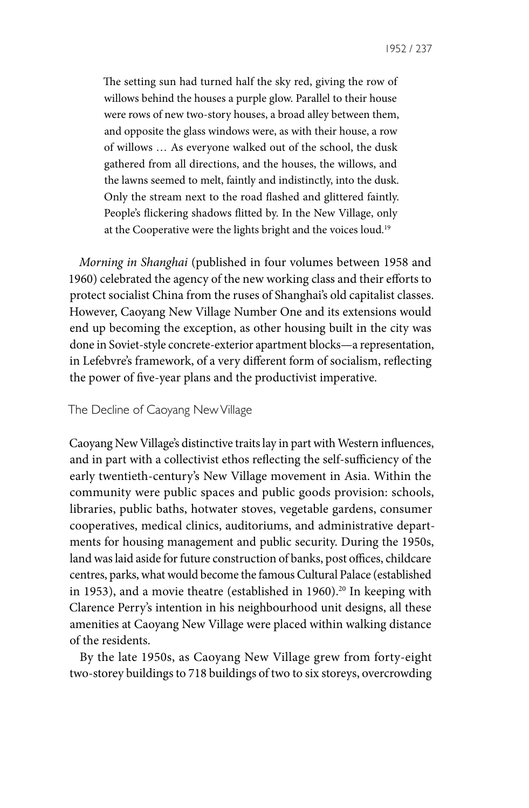The setting sun had turned half the sky red, giving the row of willows behind the houses a purple glow. Parallel to their house were rows of new two-story houses, a broad alley between them, and opposite the glass windows were, as with their house, a row of willows … As everyone walked out of the school, the dusk gathered from all directions, and the houses, the willows, and the lawns seemed to melt, faintly and indistinctly, into the dusk. Only the stream next to the road flashed and glittered faintly. People's flickering shadows flitted by. In the New Village, only at the Cooperative were the lights bright and the voices loud.19

*Morning in Shanghai* (published in four volumes between 1958 and 1960) celebrated the agency of the new working class and their efforts to protect socialist China from the ruses of Shanghai's old capitalist classes. However, Caoyang New Village Number One and its extensions would end up becoming the exception, as other housing built in the city was done in Soviet-style concrete-exterior apartment blocks—a representation, in Lefebvre's framework, of a very different form of socialism, reflecting the power of five-year plans and the productivist imperative.

## The Decline of Caoyang New Village

Caoyang New Village's distinctive traits lay in part with Western influences, and in part with a collectivist ethos reflecting the self-sufficiency of the early twentieth-century's New Village movement in Asia. Within the community were public spaces and public goods provision: schools, libraries, public baths, hotwater stoves, vegetable gardens, consumer cooperatives, medical clinics, auditoriums, and administrative departments for housing management and public security. During the 1950s, land was laid aside for future construction of banks, post offices, childcare centres, parks, what would become the famous Cultural Palace (established in 1953), and a movie theatre (established in 1960).<sup>20</sup> In keeping with Clarence Perry's intention in his neighbourhood unit designs, all these amenities at Caoyang New Village were placed within walking distance of the residents.

By the late 1950s, as Caoyang New Village grew from forty-eight two-storey buildings to 718 buildings of two to six storeys, overcrowding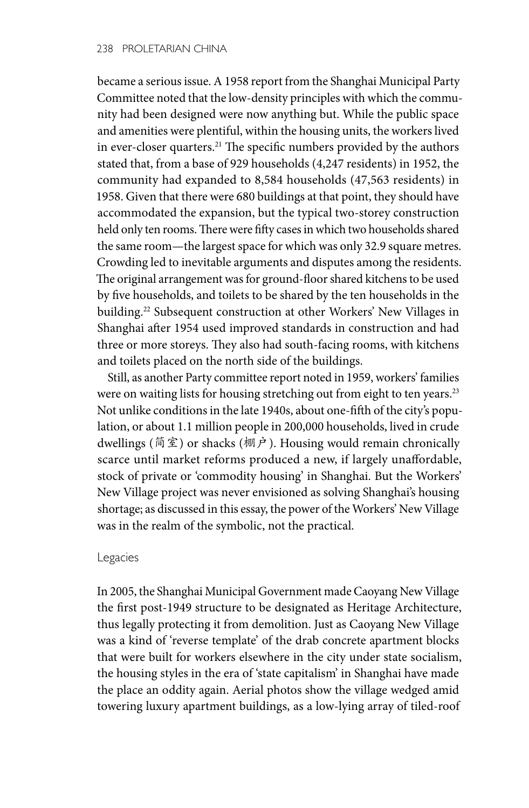became a serious issue. A 1958 report from the Shanghai Municipal Party Committee noted that the low-density principles with which the community had been designed were now anything but. While the public space and amenities were plentiful, within the housing units, the workers lived in ever-closer quarters.21 The specific numbers provided by the authors stated that, from a base of 929 households (4,247 residents) in 1952, the community had expanded to 8,584 households (47,563 residents) in 1958. Given that there were 680 buildings at that point, they should have accommodated the expansion, but the typical two-storey construction held only ten rooms. There were fifty cases in which two households shared the same room—the largest space for which was only 32.9 square metres. Crowding led to inevitable arguments and disputes among the residents. The original arrangement was for ground-floor shared kitchens to be used by five households, and toilets to be shared by the ten households in the building.22 Subsequent construction at other Workers' New Villages in Shanghai after 1954 used improved standards in construction and had three or more storeys. They also had south-facing rooms, with kitchens and toilets placed on the north side of the buildings.

Still, as another Party committee report noted in 1959, workers' families were on waiting lists for housing stretching out from eight to ten years.<sup>23</sup> Not unlike conditions in the late 1940s, about one-fifth of the city's population, or about 1.1 million people in 200,000 households, lived in crude dwellings (简室) or shacks (棚户). Housing would remain chronically scarce until market reforms produced a new, if largely unaffordable, stock of private or 'commodity housing' in Shanghai. But the Workers' New Village project was never envisioned as solving Shanghai's housing shortage; as discussed in this essay, the power of the Workers' New Village was in the realm of the symbolic, not the practical.

### Legacies

In 2005, the Shanghai Municipal Government made Caoyang New Village the first post-1949 structure to be designated as Heritage Architecture, thus legally protecting it from demolition. Just as Caoyang New Village was a kind of 'reverse template' of the drab concrete apartment blocks that were built for workers elsewhere in the city under state socialism, the housing styles in the era of 'state capitalism' in Shanghai have made the place an oddity again. Aerial photos show the village wedged amid towering luxury apartment buildings, as a low-lying array of tiled-roof